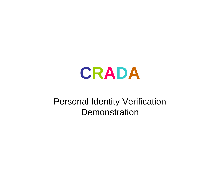# **CRADA**

#### Personal Identity Verification **Demonstration**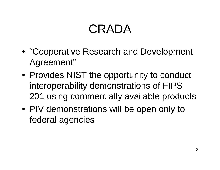## CRADA

- "Cooperative Research and Development Agreement"
- Provides NIST the opportunity to conduct interoperability demonstrations of FIPS 201 using commercially available products
- PIV demonstrations will be open only to federal agencies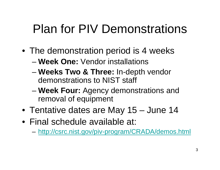## Plan for PIV Demonstrations

- The demonstration period is 4 weeks
	- **Week One:** Vendor installations
	- – **Weeks Two & Three:** In-depth vendor demonstrations to NIST staff
	- and the state of the state **Week Four:** Agency demonstrations and removal of equipment
- Tentative dates are May 15 June 14
- •Final schedule available at:
	- **Links of the Company** http://csrc.nist.gov/piv-program/CRADA/demos.html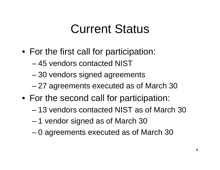#### Current Status

- For the first call for participation:
	- 45 vendors contacted NIST
	- and the state of the state 30 vendors signed agreements
	- and the state of the state 27 agreements executed as of March 30
- For the second call for participation:
	- 13 vendors contacted NIST as of March 30
	- and the state of the state 1 vendor signed as of March 30
	- –0 agreements executed as of March 30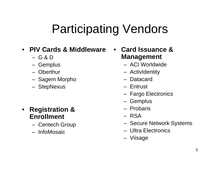#### Participating Vendors

#### • **PIV Cards & Middleware**

- G & D
- Gemplus
- –Oberthur
- Sagem Morpho
- StepNexus

- **Registration & Enrollment**
	- Centech Group
	- InfoMosaic

• **Card Issuance & Management**

- ACI Worldwide
- ActivIdentity
- –Datacard
- Entrust
- Fargo Electronics
- Gemplus
- Probaris
- RSA
- Secure Network Systems
- Ultra Electronics
- Viisage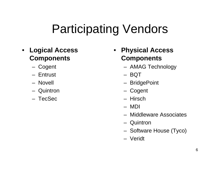### Participating Vendors

- **Logical Access Components**
	- Cogent
	- Entrust
	- Novell
	- –Quintron
	- TecSec
- • **Physical Access Components**
	- AMAG Technology
	- BQ T
	- BridgePoint
	- Cogent
	- Hirsch
	- MDI
	- –Middleware Associates
	- –Quintron
	- Software House (Tyco)
	- Veridt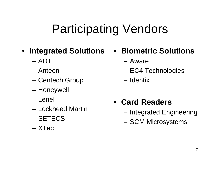## Participating Vendors

- **Integrated Solutions**
	- ADT
	- –Anteon
	- Centech Group
	- Honeywell
	- Lenel
	- –Lockheed Martin
	- SETECS
	- XTec
- **Biometric Solutions**
	- Aware
	- EC4 Technologies
	- Identix
- **Card Readers**
	- and the state of the – Integrated Engineering
	- SCM Microsystems